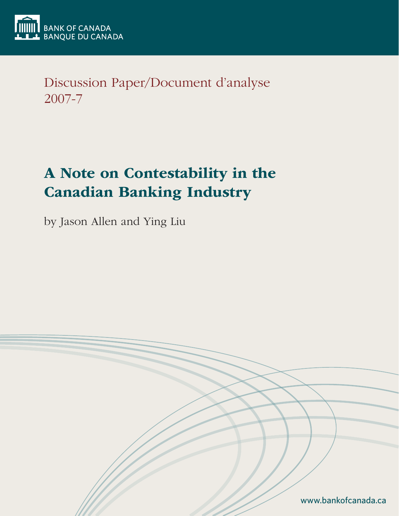

Discussion Paper/Document d'analyse 2007-7

# A Note on Contestability in the Canadian Banking Industry

by Jason Allen and Ying Liu

www.bankofcanada.ca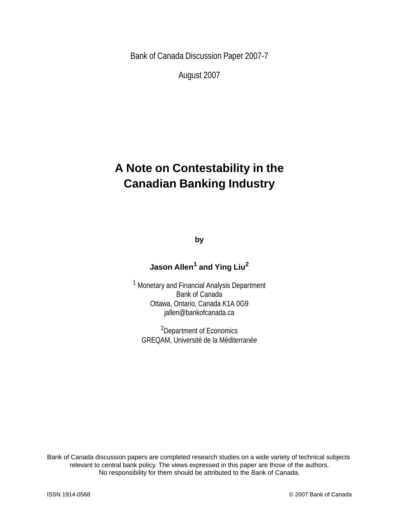Bank of Canada Discussion Paper 2007-7

August 2007

## **A Note on Contestability in the Canadian Banking Industry**

**by**

### **Jason Allen<sup>1</sup> and Ying Liu2**

1 Monetary and Financial Analysis Department Bank of Canada Ottawa, Ontario, Canada K1A 0G9 jallen@bankofcanada.ca

2Department of Economics GREQAM, Université de la Méditerranée

Bank of Canada discussion papers are completed research studies on a wide variety of technical subjects relevant to central bank policy. The views expressed in this paper are those of the authors. No responsibility for them should be attributed to the Bank of Canada.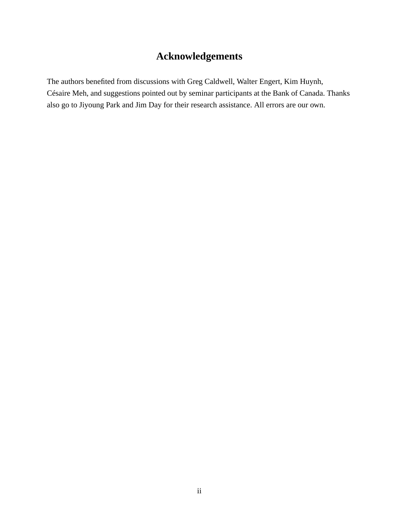## **Acknowledgements**

The authors benefited from discussions with Greg Caldwell, Walter Engert, Kim Huynh, Césaire Meh, and suggestions pointed out by seminar participants at the Bank of Canada. Thanks also go to Jiyoung Park and Jim Day for their research assistance. All errors are our own.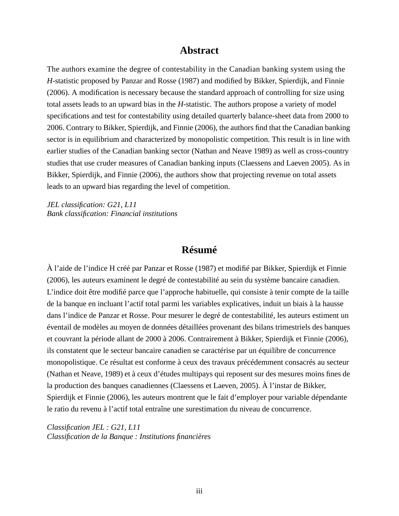#### **Abstract**

The authors examine the degree of contestability in the Canadian banking system using the *H*-statistic proposed by Panzar and Rosse (1987) and modified by Bikker, Spierdijk, and Finnie (2006). A modification is necessary because the standard approach of controlling for size using total assets leads to an upward bias in the *H*-statistic. The authors propose a variety of model specifications and test for contestability using detailed quarterly balance-sheet data from 2000 to 2006. Contrary to Bikker, Spierdijk, and Finnie (2006), the authors find that the Canadian banking sector is in equilibrium and characterized by monopolistic competition. This result is in line with earlier studies of the Canadian banking sector (Nathan and Neave 1989) as well as cross-country studies that use cruder measures of Canadian banking inputs (Claessens and Laeven 2005). As in Bikker, Spierdijk, and Finnie (2006), the authors show that projecting revenue on total assets leads to an upward bias regarding the level of competition.

*JEL classification: G21, L11 Bank classification: Financial institutions*

#### **Résumé**

À l'aide de l'indice H créé par Panzar et Rosse (1987) et modifié par Bikker, Spierdijk et Finnie (2006), les auteurs examinent le degré de contestabilité au sein du système bancaire canadien. L'indice doit être modifié parce que l'approche habituelle, qui consiste à tenir compte de la taille de la banque en incluant l'actif total parmi les variables explicatives, induit un biais à la hausse dans l'indice de Panzar et Rosse. Pour mesurer le degré de contestabilité, les auteurs estiment un éventail de modèles au moyen de données détaillées provenant des bilans trimestriels des banques et couvrant la période allant de 2000 à 2006. Contrairement à Bikker, Spierdijk et Finnie (2006), ils constatent que le secteur bancaire canadien se caractérise par un équilibre de concurrence monopolistique. Ce résultat est conforme à ceux des travaux précédemment consacrés au secteur (Nathan et Neave, 1989) et à ceux d'études multipays qui reposent sur des mesures moins fines de la production des banques canadiennes (Claessens et Laeven, 2005). À l'instar de Bikker, Spierdijk et Finnie (2006), les auteurs montrent que le fait d'employer pour variable dépendante le ratio du revenu à l'actif total entraîne une surestimation du niveau de concurrence.

*Classification JEL : G21, L11 Classification de la Banque : Institutions financières*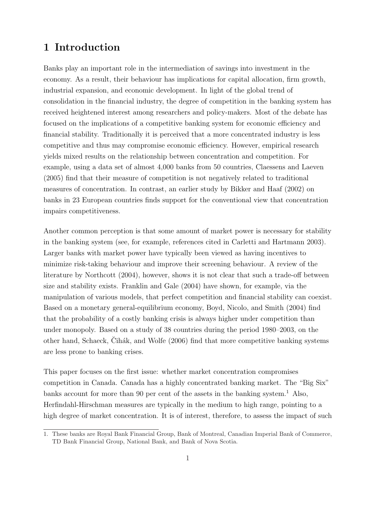## 1 Introduction

Banks play an important role in the intermediation of savings into investment in the economy. As a result, their behaviour has implications for capital allocation, firm growth, industrial expansion, and economic development. In light of the global trend of consolidation in the financial industry, the degree of competition in the banking system has received heightened interest among researchers and policy-makers. Most of the debate has focused on the implications of a competitive banking system for economic efficiency and financial stability. Traditionally it is perceived that a more concentrated industry is less competitive and thus may compromise economic efficiency. However, empirical research yields mixed results on the relationship between concentration and competition. For example, using a data set of almost 4,000 banks from 50 countries, Claessens and Laeven (2005) find that their measure of competition is not negatively related to traditional measures of concentration. In contrast, an earlier study by Bikker and Haaf (2002) on banks in 23 European countries finds support for the conventional view that concentration impairs competitiveness.

Another common perception is that some amount of market power is necessary for stability in the banking system (see, for example, references cited in Carletti and Hartmann 2003). Larger banks with market power have typically been viewed as having incentives to minimize risk-taking behaviour and improve their screening behaviour. A review of the literature by Northcott (2004), however, shows it is not clear that such a trade-off between size and stability exists. Franklin and Gale (2004) have shown, for example, via the manipulation of various models, that perfect competition and financial stability can coexist. Based on a monetary general-equilibrium economy, Boyd, Nicolo, and Smith (2004) find that the probability of a costly banking crisis is always higher under competition than under monopoly. Based on a study of 38 countries during the period 1980–2003, on the other hand, Schaeck, Cih´ak, and Wolfe (2006) find that more competitive banking systems ˘ are less prone to banking crises.

This paper focuses on the first issue: whether market concentration compromises competition in Canada. Canada has a highly concentrated banking market. The "Big Six" banks account for more than 90 per cent of the assets in the banking system.<sup>1</sup> Also, Herfindahl-Hirschman measures are typically in the medium to high range, pointing to a high degree of market concentration. It is of interest, therefore, to assess the impact of such

<sup>1.</sup> These banks are Royal Bank Financial Group, Bank of Montreal, Canadian Imperial Bank of Commerce, TD Bank Financial Group, National Bank, and Bank of Nova Scotia.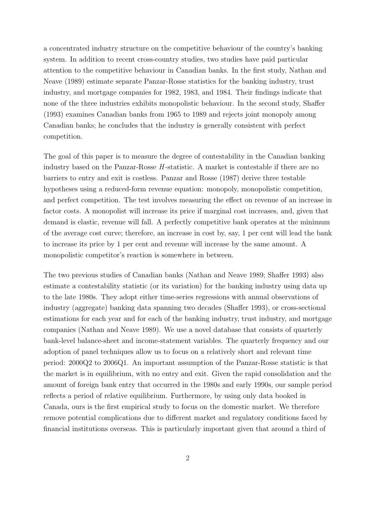a concentrated industry structure on the competitive behaviour of the country's banking system. In addition to recent cross-country studies, two studies have paid particular attention to the competitive behaviour in Canadian banks. In the first study, Nathan and Neave (1989) estimate separate Panzar-Rosse statistics for the banking industry, trust industry, and mortgage companies for 1982, 1983, and 1984. Their findings indicate that none of the three industries exhibits monopolistic behaviour. In the second study, Shaffer (1993) examines Canadian banks from 1965 to 1989 and rejects joint monopoly among Canadian banks; he concludes that the industry is generally consistent with perfect competition.

The goal of this paper is to measure the degree of contestability in the Canadian banking industry based on the Panzar-Rosse  $H$ -statistic. A market is contestable if there are no barriers to entry and exit is costless. Panzar and Rosse (1987) derive three testable hypotheses using a reduced-form revenue equation: monopoly, monopolistic competition, and perfect competition. The test involves measuring the effect on revenue of an increase in factor costs. A monopolist will increase its price if marginal cost increases, and, given that demand is elastic, revenue will fall. A perfectly competitive bank operates at the minimum of the average cost curve; therefore, an increase in cost by, say, 1 per cent will lead the bank to increase its price by 1 per cent and revenue will increase by the same amount. A monopolistic competitor's reaction is somewhere in between.

The two previous studies of Canadian banks (Nathan and Neave 1989; Shaffer 1993) also estimate a contestability statistic (or its variation) for the banking industry using data up to the late 1980s. They adopt either time-series regressions with annual observations of industry (aggregate) banking data spanning two decades (Shaffer 1993), or cross-sectional estimations for each year and for each of the banking industry, trust industry, and mortgage companies (Nathan and Neave 1989). We use a novel database that consists of quarterly bank-level balance-sheet and income-statement variables. The quarterly frequency and our adoption of panel techniques allow us to focus on a relatively short and relevant time period: 2000Q2 to 2006Q1. An important assumption of the Panzar-Rosse statistic is that the market is in equilibrium, with no entry and exit. Given the rapid consolidation and the amount of foreign bank entry that occurred in the 1980s and early 1990s, our sample period reflects a period of relative equilibrium. Furthermore, by using only data booked in Canada, ours is the first empirical study to focus on the domestic market. We therefore remove potential complications due to different market and regulatory conditions faced by financial institutions overseas. This is particularly important given that around a third of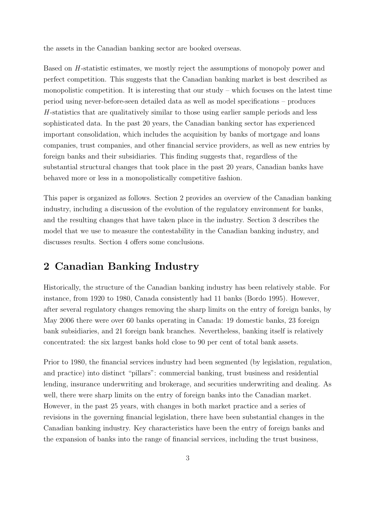the assets in the Canadian banking sector are booked overseas.

Based on H-statistic estimates, we mostly reject the assumptions of monopoly power and perfect competition. This suggests that the Canadian banking market is best described as monopolistic competition. It is interesting that our study – which focuses on the latest time period using never-before-seen detailed data as well as model specifications – produces  $H$ -statistics that are qualitatively similar to those using earlier sample periods and less sophisticated data. In the past 20 years, the Canadian banking sector has experienced important consolidation, which includes the acquisition by banks of mortgage and loans companies, trust companies, and other financial service providers, as well as new entries by foreign banks and their subsidiaries. This finding suggests that, regardless of the substantial structural changes that took place in the past 20 years, Canadian banks have behaved more or less in a monopolistically competitive fashion.

This paper is organized as follows. Section 2 provides an overview of the Canadian banking industry, including a discussion of the evolution of the regulatory environment for banks, and the resulting changes that have taken place in the industry. Section 3 describes the model that we use to measure the contestability in the Canadian banking industry, and discusses results. Section 4 offers some conclusions.

## 2 Canadian Banking Industry

Historically, the structure of the Canadian banking industry has been relatively stable. For instance, from 1920 to 1980, Canada consistently had 11 banks (Bordo 1995). However, after several regulatory changes removing the sharp limits on the entry of foreign banks, by May 2006 there were over 60 banks operating in Canada: 19 domestic banks, 23 foreign bank subsidiaries, and 21 foreign bank branches. Nevertheless, banking itself is relatively concentrated: the six largest banks hold close to 90 per cent of total bank assets.

Prior to 1980, the financial services industry had been segmented (by legislation, regulation, and practice) into distinct "pillars": commercial banking, trust business and residential lending, insurance underwriting and brokerage, and securities underwriting and dealing. As well, there were sharp limits on the entry of foreign banks into the Canadian market. However, in the past 25 years, with changes in both market practice and a series of revisions in the governing financial legislation, there have been substantial changes in the Canadian banking industry. Key characteristics have been the entry of foreign banks and the expansion of banks into the range of financial services, including the trust business,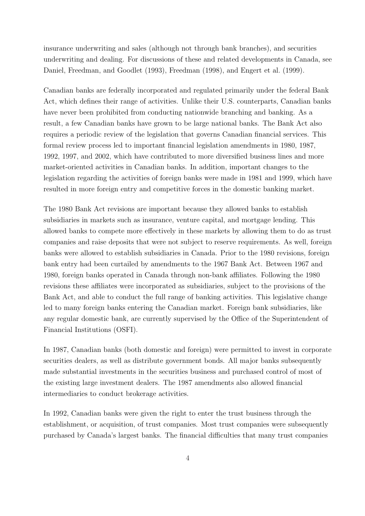insurance underwriting and sales (although not through bank branches), and securities underwriting and dealing. For discussions of these and related developments in Canada, see Daniel, Freedman, and Goodlet (1993), Freedman (1998), and Engert et al. (1999).

Canadian banks are federally incorporated and regulated primarily under the federal Bank Act, which defines their range of activities. Unlike their U.S. counterparts, Canadian banks have never been prohibited from conducting nationwide branching and banking. As a result, a few Canadian banks have grown to be large national banks. The Bank Act also requires a periodic review of the legislation that governs Canadian financial services. This formal review process led to important financial legislation amendments in 1980, 1987, 1992, 1997, and 2002, which have contributed to more diversified business lines and more market-oriented activities in Canadian banks. In addition, important changes to the legislation regarding the activities of foreign banks were made in 1981 and 1999, which have resulted in more foreign entry and competitive forces in the domestic banking market.

The 1980 Bank Act revisions are important because they allowed banks to establish subsidiaries in markets such as insurance, venture capital, and mortgage lending. This allowed banks to compete more effectively in these markets by allowing them to do as trust companies and raise deposits that were not subject to reserve requirements. As well, foreign banks were allowed to establish subsidiaries in Canada. Prior to the 1980 revisions, foreign bank entry had been curtailed by amendments to the 1967 Bank Act. Between 1967 and 1980, foreign banks operated in Canada through non-bank affiliates. Following the 1980 revisions these affiliates were incorporated as subsidiaries, subject to the provisions of the Bank Act, and able to conduct the full range of banking activities. This legislative change led to many foreign banks entering the Canadian market. Foreign bank subsidiaries, like any regular domestic bank, are currently supervised by the Office of the Superintendent of Financial Institutions (OSFI).

In 1987, Canadian banks (both domestic and foreign) were permitted to invest in corporate securities dealers, as well as distribute government bonds. All major banks subsequently made substantial investments in the securities business and purchased control of most of the existing large investment dealers. The 1987 amendments also allowed financial intermediaries to conduct brokerage activities.

In 1992, Canadian banks were given the right to enter the trust business through the establishment, or acquisition, of trust companies. Most trust companies were subsequently purchased by Canada's largest banks. The financial difficulties that many trust companies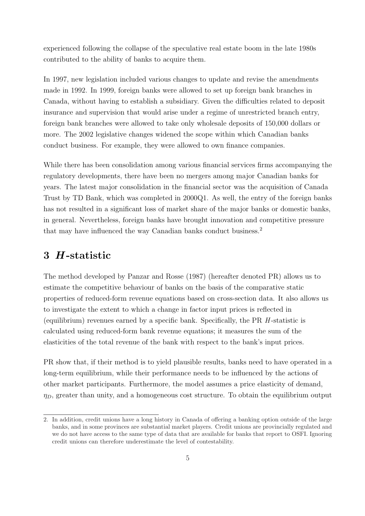experienced following the collapse of the speculative real estate boom in the late 1980s contributed to the ability of banks to acquire them.

In 1997, new legislation included various changes to update and revise the amendments made in 1992. In 1999, foreign banks were allowed to set up foreign bank branches in Canada, without having to establish a subsidiary. Given the difficulties related to deposit insurance and supervision that would arise under a regime of unrestricted branch entry, foreign bank branches were allowed to take only wholesale deposits of 150,000 dollars or more. The 2002 legislative changes widened the scope within which Canadian banks conduct business. For example, they were allowed to own finance companies.

While there has been consolidation among various financial services firms accompanying the regulatory developments, there have been no mergers among major Canadian banks for years. The latest major consolidation in the financial sector was the acquisition of Canada Trust by TD Bank, which was completed in 2000Q1. As well, the entry of the foreign banks has not resulted in a significant loss of market share of the major banks or domestic banks, in general. Nevertheless, foreign banks have brought innovation and competitive pressure that may have influenced the way Canadian banks conduct business.<sup>2</sup>

### 3 H -statistic

The method developed by Panzar and Rosse (1987) (hereafter denoted PR) allows us to estimate the competitive behaviour of banks on the basis of the comparative static properties of reduced-form revenue equations based on cross-section data. It also allows us to investigate the extent to which a change in factor input prices is reflected in (equilibrium) revenues earned by a specific bank. Specifically, the PR  $H$ -statistic is calculated using reduced-form bank revenue equations; it measures the sum of the elasticities of the total revenue of the bank with respect to the bank's input prices.

PR show that, if their method is to yield plausible results, banks need to have operated in a long-term equilibrium, while their performance needs to be influenced by the actions of other market participants. Furthermore, the model assumes a price elasticity of demand,  $\eta_D$ , greater than unity, and a homogeneous cost structure. To obtain the equilibrium output

<sup>2.</sup> In addition, credit unions have a long history in Canada of offering a banking option outside of the large banks, and in some provinces are substantial market players. Credit unions are provincially regulated and we do not have access to the same type of data that are available for banks that report to OSFI. Ignoring credit unions can therefore underestimate the level of contestability.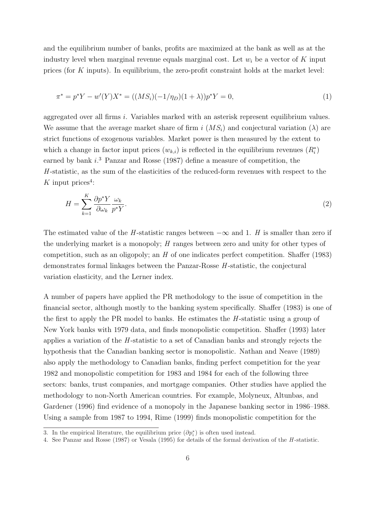and the equilibrium number of banks, profits are maximized at the bank as well as at the industry level when marginal revenue equals marginal cost. Let  $w_i$  be a vector of K input prices (for K inputs). In equilibrium, the zero-profit constraint holds at the market level:

$$
\pi^* = p^*Y - w'(Y)X^* = ((MS_i)(-1/\eta_D)(1+\lambda))p^*Y = 0,
$$
\n(1)

aggregated over all firms i. Variables marked with an asterisk represent equilibrium values. We assume that the average market share of firm i  $(MS_i)$  and conjectural variation  $(\lambda)$  are strict functions of exogenous variables. Market power is then measured by the extent to which a change in factor input prices  $(w_{k,i})$  is reflected in the equilibrium revenues  $(R_i^*)$ earned by bank  $i$ <sup>3</sup>. Panzar and Rosse (1987) define a measure of competition, the  $H$ -statistic, as the sum of the elasticities of the reduced-form revenues with respect to the  $K$  input prices<sup>4</sup>:

$$
H = \sum_{k=1}^{K} \frac{\partial p^* Y}{\partial \omega_k} \frac{\omega_k}{p^* Y}.
$$
\n<sup>(2)</sup>

The estimated value of the H-statistic ranges between  $-\infty$  and 1. H is smaller than zero if the underlying market is a monopoly; H ranges between zero and unity for other types of competition, such as an oligopoly; an  $H$  of one indicates perfect competition. Shaffer (1983) demonstrates formal linkages between the Panzar-Rosse H -statistic, the conjectural variation elasticity, and the Lerner index.

A number of papers have applied the PR methodology to the issue of competition in the financial sector, although mostly to the banking system specifically. Shaffer (1983) is one of the first to apply the PR model to banks. He estimates the  $H$ -statistic using a group of New York banks with 1979 data, and finds monopolistic competition. Shaffer (1993) later applies a variation of the H -statistic to a set of Canadian banks and strongly rejects the hypothesis that the Canadian banking sector is monopolistic. Nathan and Neave (1989) also apply the methodology to Canadian banks, finding perfect competition for the year 1982 and monopolistic competition for 1983 and 1984 for each of the following three sectors: banks, trust companies, and mortgage companies. Other studies have applied the methodology to non-North American countries. For example, Molyneux, Altunbas, and Gardener (1996) find evidence of a monopoly in the Japanese banking sector in 1986–1988. Using a sample from 1987 to 1994, Rime (1999) finds monopolistic competition for the

<sup>3.</sup> In the empirical literature, the equilibrium price  $(\partial p_i^*)$  is often used instead.

<sup>4.</sup> See Panzar and Rosse (1987) or Vesala (1995) for details of the formal derivation of the H -statistic.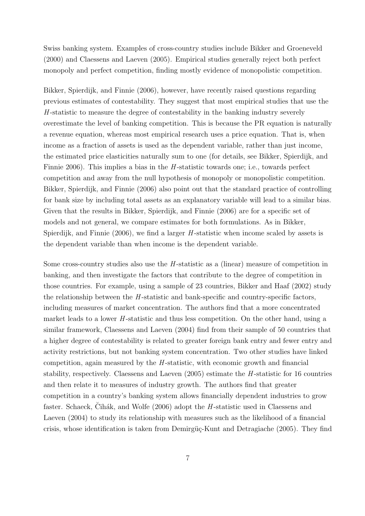Swiss banking system. Examples of cross-country studies include Bikker and Groeneveld (2000) and Claessens and Laeven (2005). Empirical studies generally reject both perfect monopoly and perfect competition, finding mostly evidence of monopolistic competition.

Bikker, Spierdijk, and Finnie (2006), however, have recently raised questions regarding previous estimates of contestability. They suggest that most empirical studies that use the H -statistic to measure the degree of contestability in the banking industry severely overestimate the level of banking competition. This is because the PR equation is naturally a revenue equation, whereas most empirical research uses a price equation. That is, when income as a fraction of assets is used as the dependent variable, rather than just income, the estimated price elasticities naturally sum to one (for details, see Bikker, Spierdijk, and Finnie 2006). This implies a bias in the  $H$ -statistic towards one; i.e., towards perfect competition and away from the null hypothesis of monopoly or monopolistic competition. Bikker, Spierdijk, and Finnie (2006) also point out that the standard practice of controlling for bank size by including total assets as an explanatory variable will lead to a similar bias. Given that the results in Bikker, Spierdijk, and Finnie (2006) are for a specific set of models and not general, we compare estimates for both formulations. As in Bikker, Spierdijk, and Finnie  $(2006)$ , we find a larger H-statistic when income scaled by assets is the dependent variable than when income is the dependent variable.

Some cross-country studies also use the  $H$ -statistic as a (linear) measure of competition in banking, and then investigate the factors that contribute to the degree of competition in those countries. For example, using a sample of 23 countries, Bikker and Haaf (2002) study the relationship between the  $H$ -statistic and bank-specific and country-specific factors, including measures of market concentration. The authors find that a more concentrated market leads to a lower  $H$ -statistic and thus less competition. On the other hand, using a similar framework, Claessens and Laeven (2004) find from their sample of 50 countries that a higher degree of contestability is related to greater foreign bank entry and fewer entry and activity restrictions, but not banking system concentration. Two other studies have linked competition, again measured by the  $H$ -statistic, with economic growth and financial stability, respectively. Claessens and Laeven  $(2005)$  estimate the *H*-statistic for 16 countries and then relate it to measures of industry growth. The authors find that greater competition in a country's banking system allows financially dependent industries to grow faster. Schaeck, Chak, and Wolfe  $(2006)$  adopt the *H*-statistic used in Claessens and Laeven (2004) to study its relationship with measures such as the likelihood of a financial crisis, whose identification is taken from Demirgüç-Kunt and Detragiache (2005). They find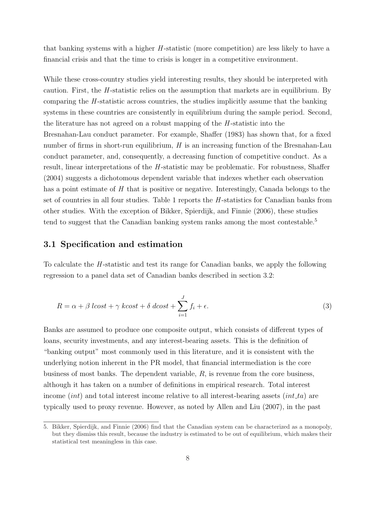that banking systems with a higher  $H$ -statistic (more competition) are less likely to have a financial crisis and that the time to crisis is longer in a competitive environment.

While these cross-country studies yield interesting results, they should be interpreted with caution. First, the *H*-statistic relies on the assumption that markets are in equilibrium. By comparing the  $H$ -statistic across countries, the studies implicitly assume that the banking systems in these countries are consistently in equilibrium during the sample period. Second, the literature has not agreed on a robust mapping of the  $H$ -statistic into the Bresnahan-Lau conduct parameter. For example, Shaffer (1983) has shown that, for a fixed number of firms in short-run equilibrium,  $H$  is an increasing function of the Bresnahan-Lau conduct parameter, and, consequently, a decreasing function of competitive conduct. As a result, linear interpretations of the H-statistic may be problematic. For robustness, Shaffer (2004) suggests a dichotomous dependent variable that indexes whether each observation has a point estimate of  $H$  that is positive or negative. Interestingly, Canada belongs to the set of countries in all four studies. Table 1 reports the H-statistics for Canadian banks from other studies. With the exception of Bikker, Spierdijk, and Finnie (2006), these studies tend to suggest that the Canadian banking system ranks among the most contestable.<sup>5</sup>

#### 3.1 Specification and estimation

To calculate the H-statistic and test its range for Canadian banks, we apply the following regression to a panel data set of Canadian banks described in section 3.2:

$$
R = \alpha + \beta \text{ } lcost + \gamma \text{ } kcost + \delta \text{ } dcost + \sum_{i=1}^{J} f_i + \epsilon.
$$
 (3)

Banks are assumed to produce one composite output, which consists of different types of loans, security investments, and any interest-bearing assets. This is the definition of "banking output" most commonly used in this literature, and it is consistent with the underlying notion inherent in the PR model, that financial intermediation is the core business of most banks. The dependent variable,  $R$ , is revenue from the core business, although it has taken on a number of definitions in empirical research. Total interest income (int) and total interest income relative to all interest-bearing assets (int  $ta$ ) are typically used to proxy revenue. However, as noted by Allen and Liu (2007), in the past

<sup>5.</sup> Bikker, Spierdijk, and Finnie (2006) find that the Canadian system can be characterized as a monopoly, but they dismiss this result, because the industry is estimated to be out of equilibrium, which makes their statistical test meaningless in this case.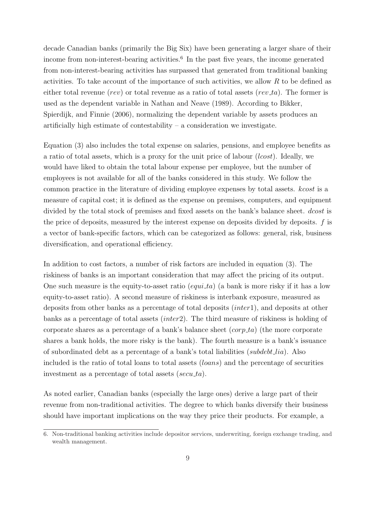decade Canadian banks (primarily the Big Six) have been generating a larger share of their income from non-interest-bearing activities.<sup>6</sup> In the past five years, the income generated from non-interest-bearing activities has surpassed that generated from traditional banking activities. To take account of the importance of such activities, we allow R to be defined as either total revenue (rev) or total revenue as a ratio of total assets (rev<sub>-ta</sub>). The former is used as the dependent variable in Nathan and Neave (1989). According to Bikker, Spierdijk, and Finnie (2006), normalizing the dependent variable by assets produces an artificially high estimate of contestability  $-$  a consideration we investigate.

Equation (3) also includes the total expense on salaries, pensions, and employee benefits as a ratio of total assets, which is a proxy for the unit price of labour (lcost). Ideally, we would have liked to obtain the total labour expense per employee, but the number of employees is not available for all of the banks considered in this study. We follow the common practice in the literature of dividing employee expenses by total assets. kcost is a measure of capital cost; it is defined as the expense on premises, computers, and equipment divided by the total stock of premises and fixed assets on the bank's balance sheet. *dcost* is the price of deposits, measured by the interest expense on deposits divided by deposits.  $f$  is a vector of bank-specific factors, which can be categorized as follows: general, risk, business diversification, and operational efficiency.

In addition to cost factors, a number of risk factors are included in equation (3). The riskiness of banks is an important consideration that may affect the pricing of its output. One such measure is the equity-to-asset ratio  $(equi\_ta)$  (a bank is more risky if it has a low equity-to-asset ratio). A second measure of riskiness is interbank exposure, measured as deposits from other banks as a percentage of total deposits (inter1), and deposits at other banks as a percentage of total assets (inter2). The third measure of riskiness is holding of corporate shares as a percentage of a bank's balance sheet  $(corp\_ta)$  (the more corporate shares a bank holds, the more risky is the bank). The fourth measure is a bank's issuance of subordinated debt as a percentage of a bank's total liabilities (subdebt lia). Also included is the ratio of total loans to total assets (loans) and the percentage of securities investment as a percentage of total assets ( $secu\_ta$ ).

As noted earlier, Canadian banks (especially the large ones) derive a large part of their revenue from non-traditional activities. The degree to which banks diversify their business should have important implications on the way they price their products. For example, a

<sup>6.</sup> Non-traditional banking activities include depositor services, underwriting, foreign exchange trading, and wealth management.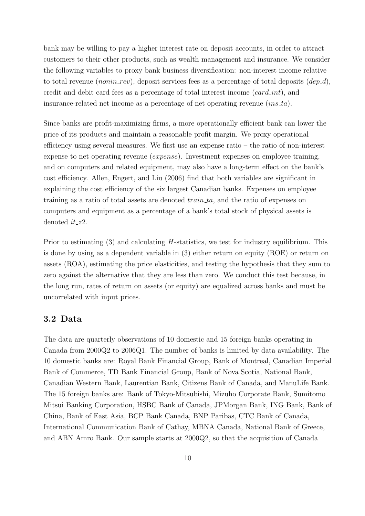bank may be willing to pay a higher interest rate on deposit accounts, in order to attract customers to their other products, such as wealth management and insurance. We consider the following variables to proxy bank business diversification: non-interest income relative to total revenue (*nonin rev*), deposit services fees as a percentage of total deposits ( $dep d$ ), credit and debit card fees as a percentage of total interest income  $(card\_int)$ , and insurance-related net income as a percentage of net operating revenue *(ins.ta)*.

Since banks are profit-maximizing firms, a more operationally efficient bank can lower the price of its products and maintain a reasonable profit margin. We proxy operational efficiency using several measures. We first use an expense ratio – the ratio of non-interest expense to net operating revenue (expense). Investment expenses on employee training, and on computers and related equipment, may also have a long-term effect on the bank's cost efficiency. Allen, Engert, and Liu (2006) find that both variables are significant in explaining the cost efficiency of the six largest Canadian banks. Expenses on employee training as a ratio of total assets are denoted  $train\_ta$ , and the ratio of expenses on computers and equipment as a percentage of a bank's total stock of physical assets is denoted  $it_zz$ 2.

Prior to estimating  $(3)$  and calculating H-statistics, we test for industry equilibrium. This is done by using as a dependent variable in (3) either return on equity (ROE) or return on assets (ROA), estimating the price elasticities, and testing the hypothesis that they sum to zero against the alternative that they are less than zero. We conduct this test because, in the long run, rates of return on assets (or equity) are equalized across banks and must be uncorrelated with input prices.

#### 3.2 Data

The data are quarterly observations of 10 domestic and 15 foreign banks operating in Canada from 2000Q2 to 2006Q1. The number of banks is limited by data availability. The 10 domestic banks are: Royal Bank Financial Group, Bank of Montreal, Canadian Imperial Bank of Commerce, TD Bank Financial Group, Bank of Nova Scotia, National Bank, Canadian Western Bank, Laurentian Bank, Citizens Bank of Canada, and ManuLife Bank. The 15 foreign banks are: Bank of Tokyo-Mitsubishi, Mizuho Corporate Bank, Sumitomo Mitsui Banking Corporation, HSBC Bank of Canada, JPMorgan Bank, ING Bank, Bank of China, Bank of East Asia, BCP Bank Canada, BNP Paribas, CTC Bank of Canada, International Communication Bank of Cathay, MBNA Canada, National Bank of Greece, and ABN Amro Bank. Our sample starts at 2000Q2, so that the acquisition of Canada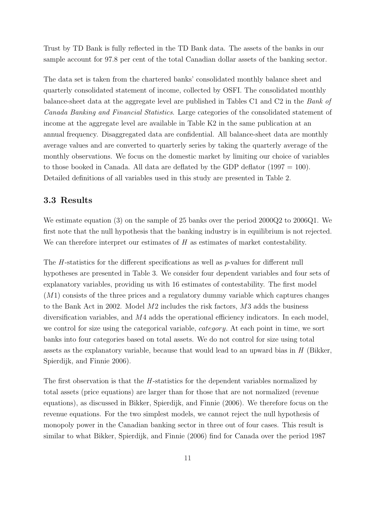Trust by TD Bank is fully reflected in the TD Bank data. The assets of the banks in our sample account for 97.8 per cent of the total Canadian dollar assets of the banking sector.

The data set is taken from the chartered banks' consolidated monthly balance sheet and quarterly consolidated statement of income, collected by OSFI. The consolidated monthly balance-sheet data at the aggregate level are published in Tables C1 and C2 in the Bank of Canada Banking and Financial Statistics. Large categories of the consolidated statement of income at the aggregate level are available in Table K2 in the same publication at an annual frequency. Disaggregated data are confidential. All balance-sheet data are monthly average values and are converted to quarterly series by taking the quarterly average of the monthly observations. We focus on the domestic market by limiting our choice of variables to those booked in Canada. All data are deflated by the GDP deflator  $(1997 = 100)$ . Detailed definitions of all variables used in this study are presented in Table 2.

#### 3.3 Results

We estimate equation (3) on the sample of 25 banks over the period 2000Q2 to 2006Q1. We first note that the null hypothesis that the banking industry is in equilibrium is not rejected. We can therefore interpret our estimates of H as estimates of market contestability.

The H-statistics for the different specifications as well as p-values for different null hypotheses are presented in Table 3. We consider four dependent variables and four sets of explanatory variables, providing us with 16 estimates of contestability. The first model  $(M1)$  consists of the three prices and a regulatory dummy variable which captures changes to the Bank Act in 2002. Model M2 includes the risk factors, M3 adds the business diversification variables, and M4 adds the operational efficiency indicators. In each model, we control for size using the categorical variable, *category*. At each point in time, we sort banks into four categories based on total assets. We do not control for size using total assets as the explanatory variable, because that would lead to an upward bias in  $H$  (Bikker, Spierdijk, and Finnie 2006).

The first observation is that the *H*-statistics for the dependent variables normalized by total assets (price equations) are larger than for those that are not normalized (revenue equations), as discussed in Bikker, Spierdijk, and Finnie (2006). We therefore focus on the revenue equations. For the two simplest models, we cannot reject the null hypothesis of monopoly power in the Canadian banking sector in three out of four cases. This result is similar to what Bikker, Spierdijk, and Finnie (2006) find for Canada over the period 1987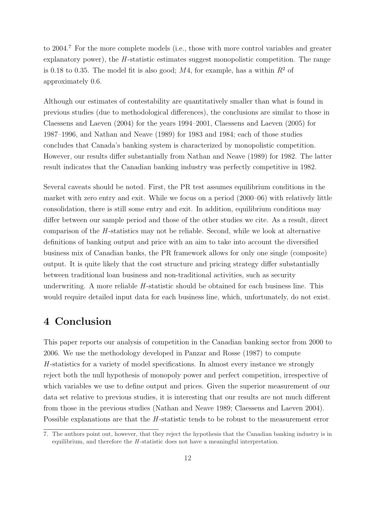to 2004.<sup>7</sup> For the more complete models (i.e., those with more control variables and greater explanatory power), the  $H$ -statistic estimates suggest monopolistic competition. The range is 0.18 to 0.35. The model fit is also good; M4, for example, has a within  $R^2$  of approximately 0.6.

Although our estimates of contestability are quantitatively smaller than what is found in previous studies (due to methodological differences), the conclusions are similar to those in Claessens and Laeven (2004) for the years 1994–2001, Claessens and Laeven (2005) for 1987–1996, and Nathan and Neave (1989) for 1983 and 1984; each of those studies concludes that Canada's banking system is characterized by monopolistic competition. However, our results differ substantially from Nathan and Neave (1989) for 1982. The latter result indicates that the Canadian banking industry was perfectly competitive in 1982.

Several caveats should be noted. First, the PR test assumes equilibrium conditions in the market with zero entry and exit. While we focus on a period (2000–06) with relatively little consolidation, there is still some entry and exit. In addition, equilibrium conditions may differ between our sample period and those of the other studies we cite. As a result, direct comparison of the  $H$ -statistics may not be reliable. Second, while we look at alternative definitions of banking output and price with an aim to take into account the diversified business mix of Canadian banks, the PR framework allows for only one single (composite) output. It is quite likely that the cost structure and pricing strategy differ substantially between traditional loan business and non-traditional activities, such as security underwriting. A more reliable  $H$ -statistic should be obtained for each business line. This would require detailed input data for each business line, which, unfortunately, do not exist.

## 4 Conclusion

This paper reports our analysis of competition in the Canadian banking sector from 2000 to 2006. We use the methodology developed in Panzar and Rosse (1987) to compute  $H$ -statistics for a variety of model specifications. In almost every instance we strongly reject both the null hypothesis of monopoly power and perfect competition, irrespective of which variables we use to define output and prices. Given the superior measurement of our data set relative to previous studies, it is interesting that our results are not much different from those in the previous studies (Nathan and Neave 1989; Claessens and Laeven 2004). Possible explanations are that the H-statistic tends to be robust to the measurement error

<sup>7.</sup> The authors point out, however, that they reject the hypothesis that the Canadian banking industry is in equilibrium, and therefore the  $H$ -statistic does not have a meaningful interpretation.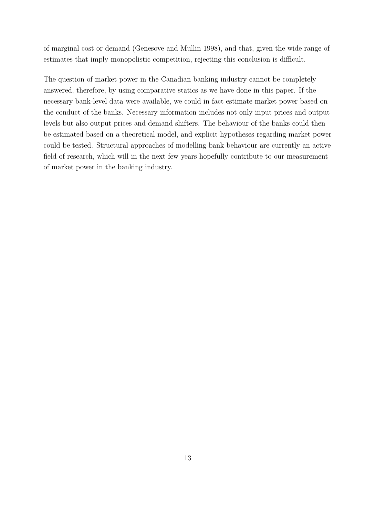of marginal cost or demand (Genesove and Mullin 1998), and that, given the wide range of estimates that imply monopolistic competition, rejecting this conclusion is difficult.

The question of market power in the Canadian banking industry cannot be completely answered, therefore, by using comparative statics as we have done in this paper. If the necessary bank-level data were available, we could in fact estimate market power based on the conduct of the banks. Necessary information includes not only input prices and output levels but also output prices and demand shifters. The behaviour of the banks could then be estimated based on a theoretical model, and explicit hypotheses regarding market power could be tested. Structural approaches of modelling bank behaviour are currently an active field of research, which will in the next few years hopefully contribute to our measurement of market power in the banking industry.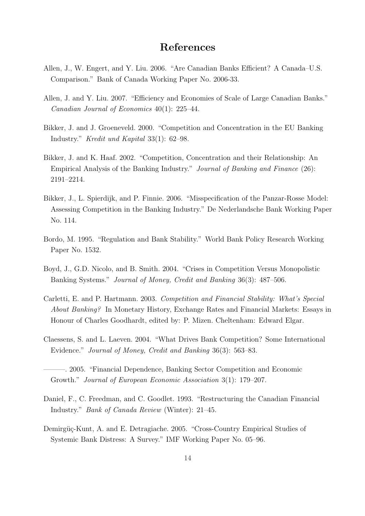#### References

- Allen, J., W. Engert, and Y. Liu. 2006. "Are Canadian Banks Efficient? A Canada–U.S. Comparison." Bank of Canada Working Paper No. 2006-33.
- Allen, J. and Y. Liu. 2007. "Efficiency and Economies of Scale of Large Canadian Banks." Canadian Journal of Economics 40(1): 225–44.
- Bikker, J. and J. Groeneveld. 2000. "Competition and Concentration in the EU Banking Industry." Kredit und Kapital 33(1): 62–98.
- Bikker, J. and K. Haaf. 2002. "Competition, Concentration and their Relationship: An Empirical Analysis of the Banking Industry." Journal of Banking and Finance (26): 2191–2214.
- Bikker, J., L. Spierdijk, and P. Finnie. 2006. "Misspecification of the Panzar-Rosse Model: Assessing Competition in the Banking Industry." De Nederlandsche Bank Working Paper No. 114.
- Bordo, M. 1995. "Regulation and Bank Stability." World Bank Policy Research Working Paper No. 1532.
- Boyd, J., G.D. Nicolo, and B. Smith. 2004. "Crises in Competition Versus Monopolistic Banking Systems." Journal of Money, Credit and Banking 36(3): 487–506.
- Carletti, E. and P. Hartmann. 2003. Competition and Financial Stability: What's Special About Banking? In Monetary History, Exchange Rates and Financial Markets: Essays in Honour of Charles Goodhardt, edited by: P. Mizen. Cheltenham: Edward Elgar.
- Claessens, S. and L. Laeven. 2004. "What Drives Bank Competition? Some International Evidence." Journal of Money, Credit and Banking 36(3): 563–83.
- ———. 2005. "Financial Dependence, Banking Sector Competition and Economic Growth." Journal of European Economic Association 3(1): 179–207.
- Daniel, F., C. Freedman, and C. Goodlet. 1993. "Restructuring the Canadian Financial Industry." Bank of Canada Review (Winter): 21–45.
- Demirgüç-Kunt, A. and E. Detragiache. 2005. "Cross-Country Empirical Studies of Systemic Bank Distress: A Survey." IMF Working Paper No. 05–96.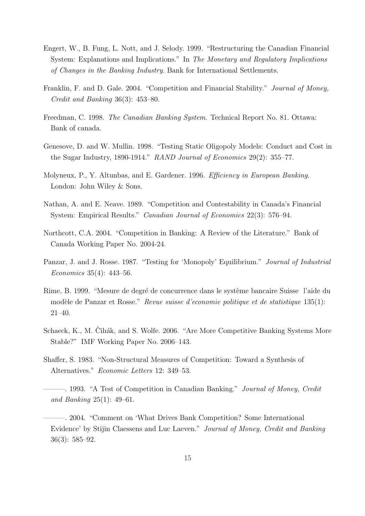- Engert, W., B. Fung, L. Nott, and J. Selody. 1999. "Restructuring the Canadian Financial System: Explanations and Implications." In The Monetary and Regulatory Implications of Changes in the Banking Industry. Bank for International Settlements.
- Franklin, F. and D. Gale. 2004. "Competition and Financial Stability." Journal of Money, Credit and Banking 36(3): 453–80.
- Freedman, C. 1998. The Canadian Banking System. Technical Report No. 81. Ottawa: Bank of canada.
- Genesove, D. and W. Mullin. 1998. "Testing Static Oligopoly Models: Conduct and Cost in the Sugar Industry, 1890-1914." RAND Journal of Economics 29(2): 355–77.
- Molyneux, P., Y. Altunbas, and E. Gardener. 1996. Efficiency in European Banking. London: John Wiley & Sons.
- Nathan, A. and E. Neave. 1989. "Competition and Contestability in Canada's Financial System: Empirical Results." Canadian Journal of Economics 22(3): 576–94.
- Northcott, C.A. 2004. "Competition in Banking: A Review of the Literature." Bank of Canada Working Paper No. 2004-24.
- Panzar, J. and J. Rosse. 1987. "Testing for 'Monopoly' Equilibrium." Journal of Industrial Economics 35(4): 443–56.
- Rime, B. 1999. "Mesure de degré de concurrence dans le système bancaire Suisse l'aide du modèle de Panzar et Rosse." Revue suisse d'economie politique et de statistique 135(1): 21–40.
- Schaeck, K., M. Cihák, and S. Wolfe. 2006. "Are More Competitive Banking Systems More Stable?" IMF Working Paper No. 2006–143.
- Shaffer, S. 1983. "Non-Structural Measures of Competition: Toward a Synthesis of Alternatives." Economic Letters 12: 349–53.
- —. 1993. "A Test of Competition in Canadian Banking." *Journal of Money, Credit* and Banking 25(1): 49–61.
- ———. 2004. "Comment on 'What Drives Bank Competition? Some International Evidence' by Stijin Claessens and Luc Laeven." Journal of Money, Credit and Banking 36(3): 585–92.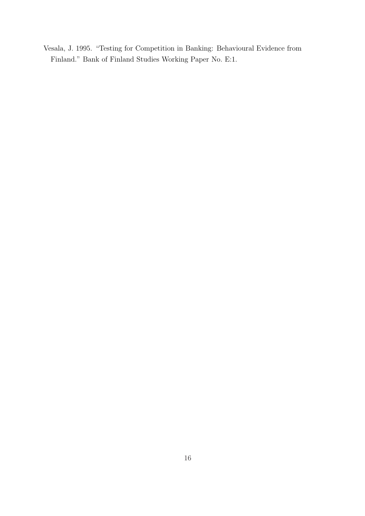Vesala, J. 1995. "Testing for Competition in Banking: Behavioural Evidence from Finland." Bank of Finland Studies Working Paper No. E:1.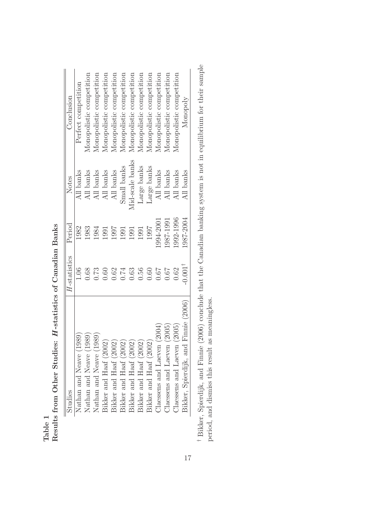| Studies                                 | H-statistics      | Period    | Notes           | Conclusion               |
|-----------------------------------------|-------------------|-----------|-----------------|--------------------------|
| Nathan and Neave (1989)                 | 1.06              | 1982      | All banks       | Perfect competition      |
| Nathan and Neave (1989)                 | 0.68              | 1983      | All banks       | Monopolistic competition |
| Nathan and Neave (1989)                 | 0.73              | 1984      | All banks       | Monopolistic competition |
| Bikker and Haaf (2002)                  | 0.60              | 1991      | All banks       | Monopolistic competition |
| Bikker and Haaf (2002)                  | 0.62              | 1997      | All banks       | Monopolistic competition |
| Bikker and Haaf (2002)                  | 0.74              | 1991      | Small banks     | Monopolistic competition |
| Bikker and Haaf (2002)                  | 0.63              | 1991      | Mid-scale banks | Monopolistic competition |
| Bikker and Haaf (2002)                  | 0.56              | 1991      | Large banks     | Monopolistic competition |
| Bikker and Haaf (2002)                  | 0.60              | 1997      | Large banks     | Monopolistic competition |
| (2004)<br>Claessens and Laeven          | $79.0$            | 1994-2001 | All banks       | Monopolistic competition |
| (2005)<br>Claessens and Laeven          | 79.0              | 1987-1991 | All banks       | Monopolistic competition |
| (2005)<br>Claessens and Laeven          | 0.62              | 1992-1996 | All banks       | Monopolistic competition |
| Finnie (2006)<br>Bikker, Spierdijk, and | $0.001^{\dagger}$ | 1987-2004 | All banks       | Monopoly                 |

Table 1  ${\bf R}$  and 1  ${\bf R}$  from Other Studies:  $H\mbox{-statistics of Canadian Banks}$ Results from Other Studies: H -statistics of Canadian Banks <sup>†</sup> Bikker, Spierdijk, and Finnie (2006) conclude that the Canadian banking system is not in equilibrium for their sample Bikker, Spierdijk, and Finnie (2006) conclude that the Canadian banking system is not in equilibrium for their sample period, and dismiss this result as meaningless. period, and dismiss this result as meaningless.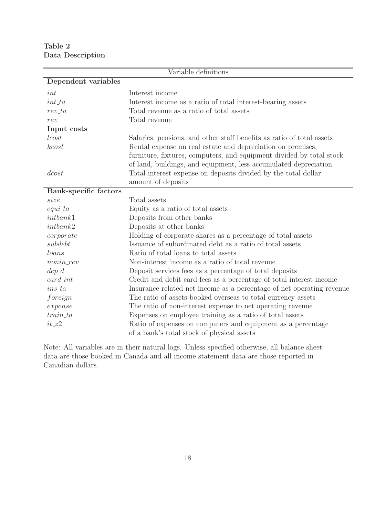Table 2 Data Description

|                       | Variable definitions                                                  |
|-----------------------|-----------------------------------------------------------------------|
| Dependent variables   |                                                                       |
| int                   | Interest income                                                       |
| $int\_ta$             | Interest income as a ratio of total interest-bearing assets           |
| $rev\_ta$             | Total revenue as a ratio of total assets                              |
| rev                   | Total revenue                                                         |
| Input costs           |                                                                       |
| lcost                 | Salaries, pensions, and other staff benefits as ratio of total assets |
| kcost                 | Rental expense on real estate and depreciation on premises,           |
|                       | furniture, fixtures, computers, and equipment divided by total stock  |
|                       | of land, buildings, and equipment, less accumulated depreciation      |
| dcost                 | Total interest expense on deposits divided by the total dollar        |
|                       | amount of deposits                                                    |
| Bank-specific factors |                                                                       |
| size                  | Total assets                                                          |
| $equi_t$              | Equity as a ratio of total assets                                     |
| intbank1              | Deposits from other banks                                             |
| intbank2              | Deposits at other banks                                               |
| $\emph{corporte}$     | Holding of corporate shares as a percentage of total assets           |
| subdebt               | Issuance of subordinated debt as a ratio of total assets              |
| loans                 | Ratio of total loans to total assets                                  |
| $nonin\_rev$          | Non-interest income as a ratio of total revenue                       |
| $dep_d$               | Deposit services fees as a percentage of total deposits               |
| $card\_int$           | Credit and debit card fees as a percentage of total interest income   |
| $ins\_ta$             | Insurance-related net income as a percentage of net operating revenue |
| foreign               | The ratio of assets booked overseas to total-currency assets          |
| expense               | The ratio of non-interest expense to net operating revenue            |
| $train\_ta$           | Expenses on employee training as a ratio of total assets              |
| $it_zz2$              | Ratio of expenses on computers and equipment as a percentage          |
|                       | of a bank's total stock of physical assets                            |

Note: All variables are in their natural logs. Unless specified otherwise, all balance sheet data are those booked in Canada and all income statement data are those reported in Canadian dollars.